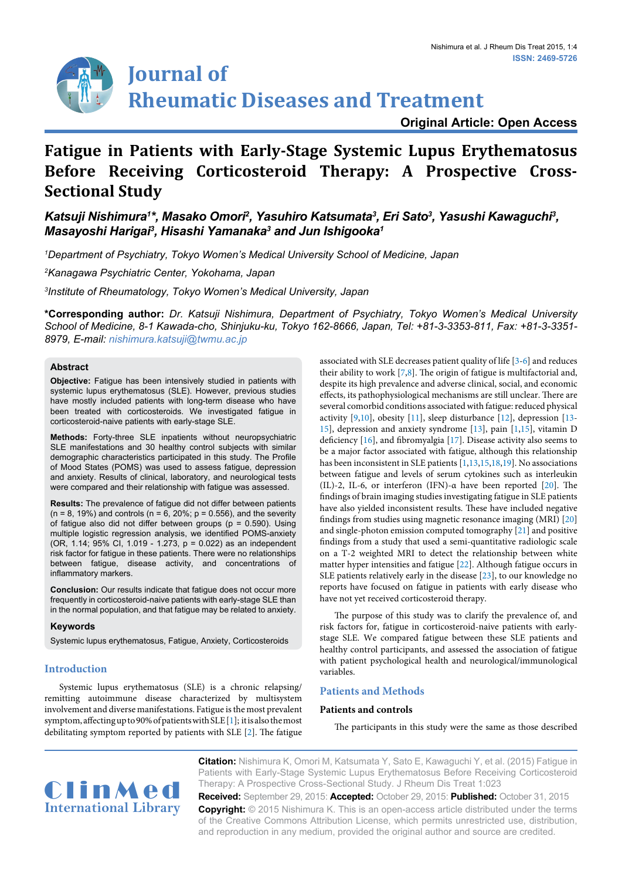

**Original Article: Open Access**

# **Fatigue in Patients with Early-Stage Systemic Lupus Erythematosus Before Receiving Corticosteroid Therapy: A Prospective Cross-Sectional Study**

Katsuji Nishimura1\*, Masako Omori<sup>2</sup>, Yasuhiro Katsumata<sup>3</sup>, Eri Sato<sup>3</sup>, Yasushi Kawaguchi<sup>3</sup>, *Masayoshi Harigai3 , Hisashi Yamanaka3 and Jun Ishigooka1*

*1 Department of Psychiatry, Tokyo Women's Medical University School of Medicine, Japan*

*2 Kanagawa Psychiatric Center, Yokohama, Japan*

*3 Institute of Rheumatology, Tokyo Women's Medical University, Japan*

**\*Corresponding author:** *Dr. Katsuji Nishimura, Department of Psychiatry, Tokyo Women's Medical University School of Medicine, 8-1 Kawada-cho, Shinjuku-ku, Tokyo 162-8666, Japan, Tel: +81-3-3353-811, Fax: +81-3-3351- 8979, E-mail: nishimura.katsuji@twmu.ac.jp*

## **Abstract**

**Objective:** Fatigue has been intensively studied in patients with systemic lupus erythematosus (SLE). However, previous studies have mostly included patients with long-term disease who have been treated with corticosteroids. We investigated fatigue in corticosteroid-naive patients with early-stage SLE.

**Methods:** Forty-three SLE inpatients without neuropsychiatric SLE manifestations and 30 healthy control subjects with similar demographic characteristics participated in this study. The Profile of Mood States (POMS) was used to assess fatigue, depression and anxiety. Results of clinical, laboratory, and neurological tests were compared and their relationship with fatigue was assessed.

**Results:** The prevalence of fatigue did not differ between patients  $(n = 8, 19%)$  and controls  $(n = 6, 20%; p = 0.556)$ , and the severity of fatigue also did not differ between groups ( $p = 0.590$ ). Using multiple logistic regression analysis, we identified POMS-anxiety (OR, 1.14; 95% CI, 1.019 - 1.273, p = 0.022) as an independent risk factor for fatigue in these patients. There were no relationships between fatigue, disease activity, and concentrations of inflammatory markers.

**Conclusion:** Our results indicate that fatigue does not occur more frequently in corticosteroid-naive patients with early-stage SLE than in the normal population, and that fatigue may be related to anxiety.

#### **Keywords**

Systemic lupus erythematosus, Fatigue, Anxiety, Corticosteroids

# **Introduction**

Systemic lupus erythematosus (SLE) is a chronic relapsing/ remitting autoimmune disease characterized by multisystem involvement and diverse manifestations. Fatigue is the most prevalent symptom, affecting up to 90% of patients with SLE [[1\]](#page-3-0); it is also the most debilitating symptom reported by patients with SLE [[2](#page-3-1)]. The fatigue

associated with SLE decreases patient quality of life [[3](#page-3-2)-[6\]](#page-3-3) and reduces their ability to work [[7,](#page-3-4)[8](#page-3-5)]. The origin of fatigue is multifactorial and, despite its high prevalence and adverse clinical, social, and economic effects, its pathophysiological mechanisms are still unclear. There are several comorbid conditions associated with fatigue: reduced physical activity [[9,](#page-3-6)[10\]](#page-3-7), obesity [\[11\]](#page-3-8), sleep disturbance [\[12\]](#page-3-9), depression [[13-](#page-3-10) [15\]](#page-3-11), depression and anxiety syndrome [\[13\]](#page-3-10), pain [\[1](#page-3-0)[,15](#page-3-11)], vitamin D deficiency [[16](#page-3-12)], and fibromyalgia [[17](#page-3-13)]. Disease activity also seems to be a major factor associated with fatigue, although this relationship has been inconsistent in SLE patients [[1,](#page-3-0)[13,](#page-3-10)[15](#page-3-11)[,18,](#page-4-0)[19\]](#page-4-1). No associations between fatigue and levels of serum cytokines such as interleukin (IL)-2, IL-6, or interferon (IFN)-α have been reported [\[20](#page-4-2)]. The findings of brain imaging studies investigating fatigue in SLE patients have also yielded inconsistent results. These have included negative findings from studies using magnetic resonance imaging (MRI) [[20\]](#page-4-2) and single-photon emission computed tomography [[21](#page-4-3)] and positive findings from a study that used a semi-quantitative radiologic scale on a T-2 weighted MRI to detect the relationship between white matter hyper intensities and fatigue [\[22\]](#page-4-4). Although fatigue occurs in SLE patients relatively early in the disease [[23](#page-4-5)], to our knowledge no reports have focused on fatigue in patients with early disease who have not yet received corticosteroid therapy.

The purpose of this study was to clarify the prevalence of, and risk factors for, fatigue in corticosteroid-naive patients with earlystage SLE. We compared fatigue between these SLE patients and healthy control participants, and assessed the association of fatigue with patient psychological health and neurological/immunological variables.

# **Patients and Methods**

#### **Patients and controls**

The participants in this study were the same as those described



**Citation:** Nishimura K, Omori M, Katsumata Y, Sato E, Kawaguchi Y, et al. (2015) Fatigue in Patients with Early-Stage Systemic Lupus Erythematosus Before Receiving Corticosteroid Therapy: A Prospective Cross-Sectional Study. J Rheum Dis Treat 1:023

**Received:** September 29, 2015: **Accepted:** October 29, 2015: **Published:** October 31, 2015 **Copyright:** © 2015 Nishimura K. This is an open-access article distributed under the terms of the Creative Commons Attribution License, which permits unrestricted use, distribution, and reproduction in any medium, provided the original author and source are credited.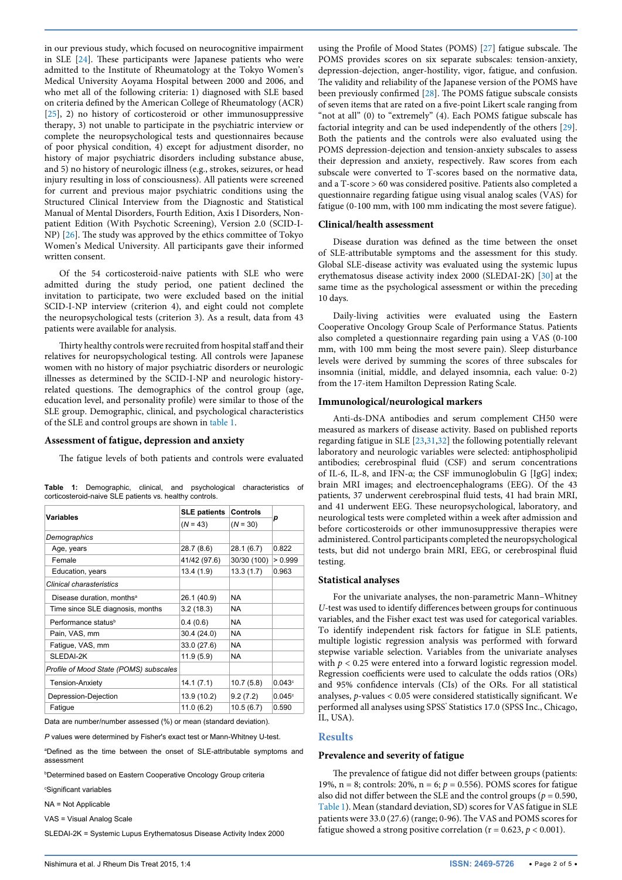in our previous study, which focused on neurocognitive impairment in SLE [\[24\]](#page-4-12). These participants were Japanese patients who were admitted to the Institute of Rheumatology at the Tokyo Women's Medical University Aoyama Hospital between 2000 and 2006, and who met all of the following criteria: 1) diagnosed with SLE based on criteria defined by the American College of Rheumatology (ACR) [[25](#page-4-13)], 2) no history of corticosteroid or other immunosuppressive therapy, 3) not unable to participate in the psychiatric interview or complete the neuropsychological tests and questionnaires because of poor physical condition, 4) except for adjustment disorder, no history of major psychiatric disorders including substance abuse, and 5) no history of neurologic illness (e.g., strokes, seizures, or head injury resulting in loss of consciousness). All patients were screened for current and previous major psychiatric conditions using the Structured Clinical Interview from the Diagnostic and Statistical Manual of Mental Disorders, Fourth Edition, Axis I Disorders, Nonpatient Edition (With Psychotic Screening), Version 2.0 (SCID-I-NP) [[26](#page-4-14)]. The study was approved by the ethics committee of Tokyo Women's Medical University. All participants gave their informed written consent.

Of the 54 corticosteroid-naive patients with SLE who were admitted during the study period, one patient declined the invitation to participate, two were excluded based on the initial SCID-I-NP interview (criterion 4), and eight could not complete the neuropsychological tests (criterion 3). As a result, data from 43 patients were available for analysis.

Thirty healthy controls were recruited from hospital staff and their relatives for neuropsychological testing. All controls were Japanese women with no history of major psychiatric disorders or neurologic illnesses as determined by the SCID-I-NP and neurologic historyrelated questions. The demographics of the control group (age, education level, and personality profile) were similar to those of the SLE group. Demographic, clinical, and psychological characteristics of the SLE and control groups are shown in [table 1.](#page-1-0)

#### **Assessment of fatigue, depression and anxiety**

The fatigue levels of both patients and controls were evaluated

| Variables                              | <b>SLE patients</b> | <b>Controls</b> |         |  |
|----------------------------------------|---------------------|-----------------|---------|--|
|                                        | $(N = 43)$          | $(N = 30)$      | р       |  |
| Demographics                           |                     |                 |         |  |
| Age, years                             | 28.7 (8.6)          | 28.1(6.7)       | 0.822   |  |
| Female                                 | 41/42 (97.6)        | 30/30 (100)     | > 0.999 |  |
| Education, years                       | 13.4(1.9)           | 13.3(1.7)       | 0.963   |  |
| Clinical charasteristics               |                     |                 |         |  |
| Disease duration, months <sup>a</sup>  | 26.1 (40.9)         | <b>NA</b>       |         |  |
| Time since SLE diagnosis, months       | 3.2(18.3)           | NA.             |         |  |
| Performance status <sup>b</sup>        | 0.4(0.6)            | NA.             |         |  |
| Pain, VAS, mm                          | 30.4 (24.0)         | <b>NA</b>       |         |  |
| Fatigue, VAS, mm                       | 33.0 (27.6)         | <b>NA</b>       |         |  |
| SLEDAI-2K                              | 11.9(5.9)           | <b>NA</b>       |         |  |
| Profile of Mood State (POMS) subscales |                     |                 |         |  |
| <b>Tension-Anxiety</b>                 | 14.1(7.1)           | 10.7(5.8)       | 0.043c  |  |
| Depression-Dejection                   | 13.9 (10.2)         | 9.2(7.2)        | 0.045c  |  |
| Fatique                                | 11.0(6.2)           | 10.5(6.7)       | 0.590   |  |

<span id="page-1-0"></span>**Table 1:** Demographic, clinical, and psychological characteristics of corticosteroid-naive SLE patients vs. healthy controls.

Data are number/number assessed (%) or mean (standard deviation).

*P* values were determined by Fisher's exact test or Mann-Whitney U-test.

a Defined as the time between the onset of SLE-attributable symptoms and assessment

b Determined based on Eastern Cooperative Oncology Group criteria

c Significant variables

NA = Not Applicable

VAS = Visual Analog Scale

SLEDAI-2K = Systemic Lupus Erythematosus Disease Activity Index 2000

using the Profile of Mood States (POMS) [[27](#page-4-6)] fatigue subscale. The POMS provides scores on six separate subscales: tension-anxiety, depression-dejection, anger-hostility, vigor, fatigue, and confusion. The validity and reliability of the Japanese version of the POMS have been previously confirmed [[28\]](#page-4-7). The POMS fatigue subscale consists of seven items that are rated on a five-point Likert scale ranging from "not at all" (0) to "extremely" (4). Each POMS fatigue subscale has factorial integrity and can be used independently of the others [[29\]](#page-4-8). Both the patients and the controls were also evaluated using the POMS depression-dejection and tension-anxiety subscales to assess their depression and anxiety, respectively. Raw scores from each subscale were converted to T-scores based on the normative data, and a T-score > 60 was considered positive. Patients also completed a questionnaire regarding fatigue using visual analog scales (VAS) for fatigue (0-100 mm, with 100 mm indicating the most severe fatigue).

#### **Clinical/health assessment**

Disease duration was defined as the time between the onset of SLE-attributable symptoms and the assessment for this study. Global SLE-disease activity was evaluated using the systemic lupus erythematosus disease activity index 2000 (SLEDAI-2K) [\[30\]](#page-4-9) at the same time as the psychological assessment or within the preceding 10 days.

Daily-living activities were evaluated using the Eastern Cooperative Oncology Group Scale of Performance Status. Patients also completed a questionnaire regarding pain using a VAS (0-100 mm, with 100 mm being the most severe pain). Sleep disturbance levels were derived by summing the scores of three subscales for insomnia (initial, middle, and delayed insomnia, each value: 0-2) from the 17-item Hamilton Depression Rating Scale.

### **Immunological/neurological markers**

Anti-ds-DNA antibodies and serum complement CH50 were measured as markers of disease activity. Based on published reports regarding fatigue in SLE [[23](#page-4-5)[,31](#page-4-10)[,32\]](#page-4-11) the following potentially relevant laboratory and neurologic variables were selected: antiphospholipid antibodies; cerebrospinal fluid (CSF) and serum concentrations of IL-6, IL-8, and IFN-α; the CSF immunoglobulin G [IgG] index; brain MRI images; and electroencephalograms (EEG). Of the 43 patients, 37 underwent cerebrospinal fluid tests, 41 had brain MRI, and 41 underwent EEG. These neuropsychological, laboratory, and neurological tests were completed within a week after admission and before corticosteroids or other immunosuppressive therapies were administered. Control participants completed the neuropsychological tests, but did not undergo brain MRI, EEG, or cerebrospinal fluid testing.

#### **Statistical analyses**

For the univariate analyses, the non-parametric Mann–Whitney *U*-test was used to identify differences between groups for continuous variables, and the Fisher exact test was used for categorical variables. To identify independent risk factors for fatigue in SLE patients, multiple logistic regression analysis was performed with forward stepwise variable selection. Variables from the univariate analyses with  $p < 0.25$  were entered into a forward logistic regression model. Regression coefficients were used to calculate the odds ratios (ORs) and 95% confidence intervals (CIs) of the ORs. For all statistical analyses, *p*-values < 0.05 were considered statistically significant. We performed all analyses using SPSS' Statistics 17.0 (SPSS Inc., Chicago, IL, USA).

## **Results**

#### **Prevalence and severity of fatigue**

The prevalence of fatigue did not differ between groups (patients: 19%, n = 8; controls: 20%, n = 6; *p* = 0.556). POMS scores for fatigue also did not differ between the SLE and the control groups ( $p = 0.590$ , [Table 1\)](#page-1-0). Mean (standard deviation, SD) scores for VAS fatigue in SLE patients were 33.0 (27.6) (range; 0-96). The VAS and POMS scores for fatigue showed a strong positive correlation ( $r = 0.623$ ,  $p < 0.001$ ).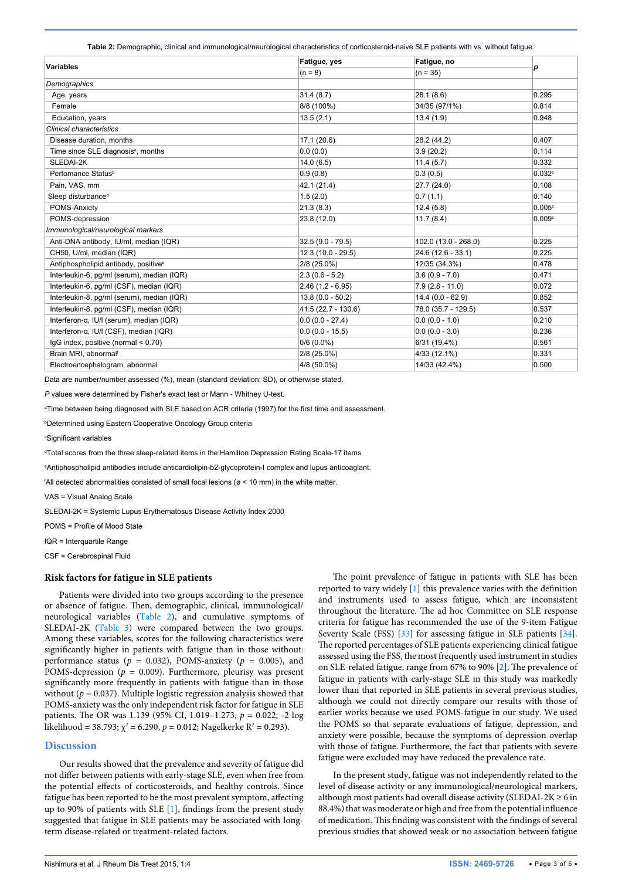<span id="page-2-0"></span>**Table 2:** Demographic, clinical and immunological/neurological characteristics of corticosteroid-naive SLE patients with vs. without fatigue.

| <b>Variables</b>                                 | Fatigue, yes         | Fatigue, no          | р                  |
|--------------------------------------------------|----------------------|----------------------|--------------------|
|                                                  | $(n = 8)$            | $(n = 35)$           |                    |
| Demographics                                     |                      |                      |                    |
| Age, years                                       | 31.4(8.7)            | 28.1(8.6)            | 0.295              |
| Female                                           | 8/8 (100%)           | 34/35 (97/1%)        | 0.814              |
| Education, years                                 | 13.5(2.1)            | 13.4(1.9)            | 0.948              |
| Clinical characteristics                         |                      |                      |                    |
| Disease duration, months                         | 17.1(20.6)           | 28.2 (44.2)          | 0.407              |
| Time since SLE diagnosis <sup>a</sup> , months   | 0.0(0.0)             | 3.9(20.2)            | 0.114              |
| SLEDAI-2K                                        | 14.0(6.5)            | 11.4(5.7)            | 0.332              |
| Perfomance Status <sup>b</sup>                   | 0.9(0.8)             | 0.3(0.5)             | 0.032c             |
| Pain, VAS, mm                                    | 42.1 (21.4)          | 27.7 (24.0)          | 0.108              |
| Sleep disturbance <sup>d</sup>                   | 1.5(2.0)             | 0.7(1.1)             | 0.140              |
| POMS-Anxiety                                     | 21.3(8.3)            | 12.4(5.8)            | 0.005 <sup>c</sup> |
| POMS-depression                                  | 23.8 (12.0)          | 11.7(8.4)            | 0.009c             |
| Immunological/neurological markers               |                      |                      |                    |
| Anti-DNA antibody, IU/ml, median (IQR)           | $32.5(9.0 - 79.5)$   | 102.0 (13.0 - 268.0) | 0.225              |
| CH50, U/ml, median (IQR)                         | $12.3(10.0 - 29.5)$  | $24.6(12.6 - 33.1)$  | 0.225              |
| Antiphospholipid antibody, positive <sup>e</sup> | $2/8$ (25.0%)        | 12/35 (34.3%)        | 0.478              |
| Interleukin-6, pg/ml (serum), median (IQR)       | $2.3(0.6 - 5.2)$     | $3.6(0.9 - 7.0)$     | 0.471              |
| Interleukin-6, pq/ml (CSF), median (IQR)         | $2.46(1.2 - 6.95)$   | $7.9(2.8 - 11.0)$    | 0.072              |
| Interleukin-8, pq/ml (serum), median (IQR)       | $13.8(0.0 - 50.2)$   | $14.4(0.0 - 62.9)$   | 0.852              |
| Interleukin-8, pg/ml (CSF), median (IQR)         | $41.5(22.7 - 130.6)$ | 78.0 (35.7 - 129.5)  | 0.537              |
| Interferon-α, IU/I (serum), median (IQR)         | $0.0(0.0 - 27.4)$    | $0.0(0.0 - 1.0)$     | 0.210              |
| Interferon-α, IU/I (CSF), median (IQR)           | $0.0(0.0 - 15.5)$    | $0.0 (0.0 - 3.0)$    | 0.236              |
| $lgG$ index, positive (normal $< 0.70$ )         | $0/6(0.0\%)$         | 6/31 (19.4%)         | 0.561              |
| Brain MRI, abnormal                              | 2/8 (25.0%)          | 4/33 (12.1%)         | 0.331              |
| Electroencephalogram, abnormal                   | 4/8 (50.0%)          | 14/33 (42.4%)        | 0.500              |

Data are number/number assessed (%), mean (standard deviation: SD), or otherwise stated.

*P* values were determined by Fisher's exact test or Mann - Whitney U-test.

a Time between being diagnosed with SLE based on ACR criteria (1997) for the first time and assessment.

b Determined using Eastern Cooperative Oncology Group criteria

c Significant variables

d Total scores from the three sleep-related items in the Hamilton Depression Rating Scale-17 items

e Antiphospholipid antibodies include anticardiolipin-b2-glycoprotein-I complex and lupus anticoaglant.

f All detected abnormalities consisted of small focal lesions (ø < 10 mm) in the white matter.

VAS = Visual Analog Scale

SLEDAI-2K = Systemic Lupus Erythematosus Disease Activity Index 2000

POMS = Profile of Mood State

IQR = Interquartile Range

CSF = Cerebrospinal Fluid

# **Risk factors for fatigue in SLE patients**

Patients were divided into two groups according to the presence or absence of fatigue. Then, demographic, clinical, immunological/ neurological variables ([Table 2](#page-2-0)), and cumulative symptoms of SLEDAI-2K [\(Table 3](#page-3-14)) were compared between the two groups. Among these variables, scores for the following characteristics were significantly higher in patients with fatigue than in those without: performance status ( $p = 0.032$ ), POMS-anxiety ( $p = 0.005$ ), and POMS-depression ( $p = 0.009$ ). Furthermore, pleurisy was present significantly more frequently in patients with fatigue than in those without ( $p = 0.037$ ). Multiple logistic regression analysis showed that POMS-anxiety was the only independent risk factor for fatigue in SLE patients. The OR was 1.139 (95% CI, 1.019–1.273, *p* = 0.022; -2 log likelihood = 38.793;  $\chi^2$  = 6.290,  $p$  = 0.012; Nagelkerke R<sup>2</sup> = 0.293).

## **Discussion**

Our results showed that the prevalence and severity of fatigue did not differ between patients with early-stage SLE, even when free from the potential effects of corticosteroids, and healthy controls. Since fatigue has been reported to be the most prevalent symptom, affecting up to 90% of patients with SLE [[1](#page-3-0)], findings from the present study suggested that fatigue in SLE patients may be associated with longterm disease-related or treatment-related factors.

The point prevalence of fatigue in patients with SLE has been reported to vary widely [\[1](#page-3-0)] this prevalence varies with the definition and instruments used to assess fatigue, which are inconsistent throughout the literature. The ad hoc Committee on SLE response criteria for fatigue has recommended the use of the 9-item Fatigue Severity Scale (FSS) [[33](#page-4-15)] for assessing fatigue in SLE patients [[34\]](#page-4-16). The reported percentages of SLE patients experiencing clinical fatigue assessed using the FSS, the most frequently used instrument in studies on SLE-related fatigue, range from 67% to 90% [\[2](#page-3-1)]. The prevalence of fatigue in patients with early-stage SLE in this study was markedly lower than that reported in SLE patients in several previous studies, although we could not directly compare our results with those of earlier works because we used POMS-fatigue in our study. We used the POMS so that separate evaluations of fatigue, depression, and anxiety were possible, because the symptoms of depression overlap with those of fatigue. Furthermore, the fact that patients with severe fatigue were excluded may have reduced the prevalence rate.

In the present study, fatigue was not independently related to the level of disease activity or any immunological/neurological markers, although most patients had overall disease activity (SLEDAI-2K  $\geq$  6 in 88.4%) that was moderate or high and free from the potential influence of medication. This finding was consistent with the findings of several previous studies that showed weak or no association between fatigue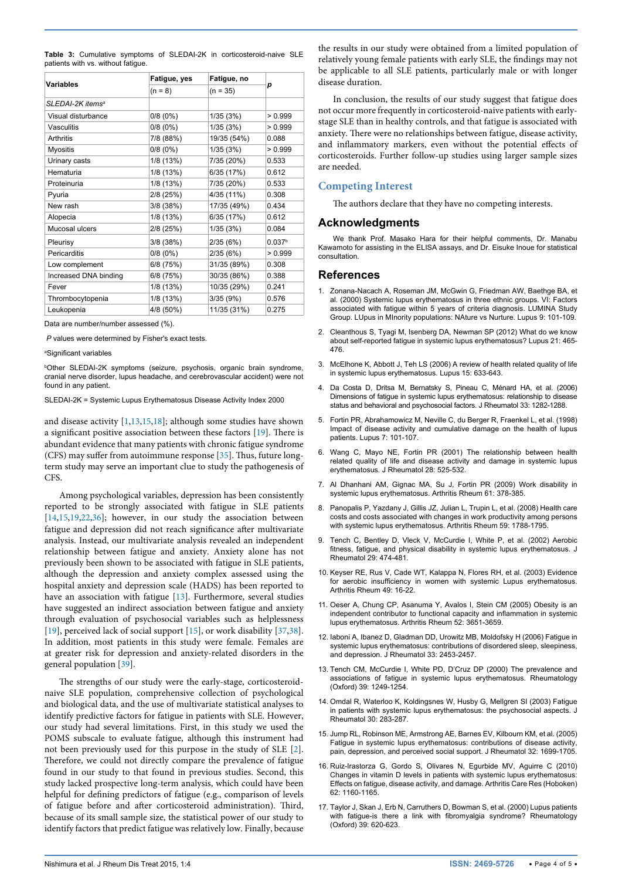<span id="page-3-14"></span>

| Variables             | Fatigue, yes | Fatigue, no |                    |
|-----------------------|--------------|-------------|--------------------|
|                       | $(n = 8)$    | $(n = 35)$  | р                  |
| SLEDAI-2K itemsª      |              |             |                    |
| Visual disturbance    | 0/8(0%)      | 1/35(3%)    | > 0.999            |
| Vasculitis            | 0/8(0%)      | 1/35(3%)    | > 0.999            |
| <b>Arthritis</b>      | 7/8 (88%)    | 19/35 (54%) | 0.088              |
| <b>Myositis</b>       | 0/8(0%)      | 1/35 (3%)   | > 0.999            |
| Urinary casts         | 1/8 (13%)    | 7/35 (20%)  | 0.533              |
| Hematuria             | 1/8 (13%)    | 6/35 (17%)  | 0.612              |
| Proteinuria           | 1/8 (13%)    | 7/35 (20%)  | 0.533              |
| Pyuria                | 2/8 (25%)    | 4/35 (11%)  | 0.308              |
| New rash              | 3/8 (38%)    | 17/35 (49%) | 0.434              |
| Alopecia              | 1/8 (13%)    | 6/35 (17%)  | 0.612              |
| Mucosal ulcers        | 2/8 (25%)    | 1/35(3%)    | 0.084              |
| Pleurisy              | 3/8 (38%)    | 2/35(6%)    | 0.037 <sup>b</sup> |
| Pericarditis          | 0/8(0%)      | 2/35(6%)    | > 0.999            |
| Low complement        | 6/8 (75%)    | 31/35 (89%) | 0.308              |
| Increased DNA binding | 6/8 (75%)    | 30/35 (86%) | 0.388              |
| Fever                 | 1/8 (13%)    | 10/35 (29%) | 0.241              |
| Thrombocytopenia      | 1/8 (13%)    | 3/35(9%)    | 0.576              |
| Leukopenia            | 4/8 (50%)    | 11/35 (31%) | 0.275              |

Data are number/number assessed (%).

*P* values were determined by Fisher's exact tests.

a Significant variables

b Other SLEDAI-2K symptoms (seizure, psychosis, organic brain syndrome, cranial nerve disorder, lupus headache, and cerebrovascular accident) were not found in any patient.

SLEDAI-2K = Systemic Lupus Erythematosus Disease Activity Index 2000

and disease activity [[1](#page-3-0)[,13,](#page-3-10)[15,](#page-3-11)[18](#page-4-0)]; although some studies have shown a significant positive association between these factors [\[19](#page-4-1)]. There is abundant evidence that many patients with chronic fatigue syndrome (CFS) may suffer from autoimmune response [\[35\]](#page-4-17). Thus, future longterm study may serve an important clue to study the pathogenesis of CFS.

Among psychological variables, depression has been consistently reported to be strongly associated with fatigue in SLE patients [[14](#page-3-15)[,15,](#page-3-11)[19,](#page-4-1)[22](#page-4-4)[,36](#page-4-18)]; however, in our study the association between fatigue and depression did not reach significance after multivariate analysis. Instead, our multivariate analysis revealed an independent relationship between fatigue and anxiety. Anxiety alone has not previously been shown to be associated with fatigue in SLE patients, although the depression and anxiety complex assessed using the hospital anxiety and depression scale (HADS) has been reported to have an association with fatigue [\[13\]](#page-3-10). Furthermore, several studies have suggested an indirect association between fatigue and anxiety through evaluation of psychosocial variables such as helplessness [[19](#page-4-1)], perceived lack of social support [[15](#page-3-11)], or work disability [\[37,](#page-4-19)[38](#page-4-20)]. In addition, most patients in this study were female. Females are at greater risk for depression and anxiety-related disorders in the general population [[39](#page-4-21)].

The strengths of our study were the early-stage, corticosteroidnaive SLE population, comprehensive collection of psychological and biological data, and the use of multivariate statistical analyses to identify predictive factors for fatigue in patients with SLE. However, our study had several limitations. First, in this study we used the POMS subscale to evaluate fatigue, although this instrument had not been previously used for this purpose in the study of SLE [\[2](#page-3-1)]. Therefore, we could not directly compare the prevalence of fatigue found in our study to that found in previous studies. Second, this study lacked prospective long-term analysis, which could have been helpful for defining predictors of fatigue (e.g., comparison of levels of fatigue before and after corticosteroid administration). Third, because of its small sample size, the statistical power of our study to identify factors that predict fatigue was relatively low. Finally, because the results in our study were obtained from a limited population of relatively young female patients with early SLE, the findings may not be applicable to all SLE patients, particularly male or with longer disease duration.

In conclusion, the results of our study suggest that fatigue does not occur more frequently in corticosteroid-naive patients with earlystage SLE than in healthy controls, and that fatigue is associated with anxiety. There were no relationships between fatigue, disease activity, and inflammatory markers, even without the potential effects of corticosteroids. Further follow-up studies using larger sample sizes are needed.

## **Competing Interest**

The authors declare that they have no competing interests.

## **Acknowledgments**

We thank Prof. Masako Hara for their helpful comments, Dr. Manabu Kawamoto for assisting in the ELISA assays, and Dr. Eisuke Inoue for statistical consultation.

#### **References**

- <span id="page-3-0"></span>1. [Zonana-Nacach A, Roseman JM, McGwin G, Friedman AW, Baethge BA, et](http://www.ncbi.nlm.nih.gov/pubmed/10787006)  [al. \(2000\) Systemic lupus erythematosus in three ethnic groups. VI: Factors](http://www.ncbi.nlm.nih.gov/pubmed/10787006)  [associated with fatigue within 5 years of criteria diagnosis. LUMINA Study](http://www.ncbi.nlm.nih.gov/pubmed/10787006)  [Group. LUpus in MInority populations: NAture vs Nurture. Lupus 9: 101-109.](http://www.ncbi.nlm.nih.gov/pubmed/10787006)
- <span id="page-3-1"></span>2. [Cleanthous S, Tyagi M, Isenberg DA, Newman SP \(2012\) What do we know](http://www.ncbi.nlm.nih.gov/pubmed/22345120)  [about self-reported fatigue in systemic lupus erythematosus? Lupus 21: 465-](http://www.ncbi.nlm.nih.gov/pubmed/22345120) [476.](http://www.ncbi.nlm.nih.gov/pubmed/22345120)
- <span id="page-3-2"></span>3. [McElhone K, Abbott J, Teh LS \(2006\) A review of health related quality of life](http://www.ncbi.nlm.nih.gov/pubmed/17120589)  [in systemic lupus erythematosus. Lupus 15: 633-643.](http://www.ncbi.nlm.nih.gov/pubmed/17120589)
- 4. [Da Costa D, Dritsa M, Bernatsky S, Pineau C, Ménard HA, et al. \(2006\)](http://www.ncbi.nlm.nih.gov/pubmed/16758508)  [Dimensions of fatigue in systemic lupus erythematosus: relationship to disease](http://www.ncbi.nlm.nih.gov/pubmed/16758508)  [status and behavioral and psychosocial factors. J Rheumatol 33: 1282-1288.](http://www.ncbi.nlm.nih.gov/pubmed/16758508)
- 5. [Fortin PR, Abrahamowicz M, Neville C, du Berger R, Fraenkel L, et al. \(1998\)](http://www.ncbi.nlm.nih.gov/pubmed/9541094)  [Impact of disease activity and cumulative damage on the health of lupus](http://www.ncbi.nlm.nih.gov/pubmed/9541094)  [patients. Lupus 7: 101-107.](http://www.ncbi.nlm.nih.gov/pubmed/9541094)
- <span id="page-3-3"></span>6. [Wang C, Mayo NE, Fortin PR \(2001\) The relationship between health](http://www.ncbi.nlm.nih.gov/pubmed/11296953)  [related quality of life and disease activity and damage in systemic lupus](http://www.ncbi.nlm.nih.gov/pubmed/11296953)  [erythematosus. J Rheumatol 28: 525-532.](http://www.ncbi.nlm.nih.gov/pubmed/11296953)
- <span id="page-3-4"></span>7. [Al Dhanhani AM, Gignac MA, Su J, Fortin PR \(2009\) Work disability in](http://www.ncbi.nlm.nih.gov/pubmed/19248125)  [systemic lupus erythematosus. Arthritis Rheum 61: 378-385.](http://www.ncbi.nlm.nih.gov/pubmed/19248125)
- <span id="page-3-5"></span>8. [Panopalis P, Yazdany J, Gillis JZ, Julian L, Trupin L, et al. \(2008\) Health care](http://www.ncbi.nlm.nih.gov/pubmed/19035422)  [costs and costs associated with changes in work productivity among persons](http://www.ncbi.nlm.nih.gov/pubmed/19035422)  [with systemic lupus erythematosus. Arthritis Rheum 59: 1788-1795.](http://www.ncbi.nlm.nih.gov/pubmed/19035422)
- <span id="page-3-6"></span>9. [Tench C, Bentley D, Vleck V, McCurdie I, White P, et al. \(2002\) Aerobic](http://www.ncbi.nlm.nih.gov/pubmed/11908559)  [fitness, fatigue, and physical disability in systemic lupus erythematosus. J](http://www.ncbi.nlm.nih.gov/pubmed/11908559)  [Rheumatol 29: 474-481.](http://www.ncbi.nlm.nih.gov/pubmed/11908559)
- <span id="page-3-7"></span>10. [Keyser RE, Rus V, Cade WT, Kalappa N, Flores RH, et al. \(2003\) Evidence](http://www.ncbi.nlm.nih.gov/pubmed/12579589)  for aerobic insufficiency in women with systemic Lupus erythematosus. [Arthritis Rheum 49: 16-22.](http://www.ncbi.nlm.nih.gov/pubmed/12579589)
- <span id="page-3-8"></span>11. [Oeser A, Chung CP, Asanuma Y, Avalos I, Stein CM \(2005\) Obesity is an](http://www.ncbi.nlm.nih.gov/pubmed/16258902)  [independent contributor to functional capacity and inflammation in systemic](http://www.ncbi.nlm.nih.gov/pubmed/16258902)  [lupus erythematosus. Arthritis Rheum 52: 3651-3659.](http://www.ncbi.nlm.nih.gov/pubmed/16258902)
- <span id="page-3-9"></span>12. [Iaboni A, Ibanez D, Gladman DD, Urowitz MB, Moldofsky H \(2006\) Fatigue in](http://www.ncbi.nlm.nih.gov/pubmed/17143980)  [systemic lupus erythematosus: contributions of disordered sleep, sleepiness,](http://www.ncbi.nlm.nih.gov/pubmed/17143980)  [and depression. J Rheumatol 33: 2453-2457.](http://www.ncbi.nlm.nih.gov/pubmed/17143980)
- <span id="page-3-10"></span>13. [Tench CM, McCurdie I, White PD, D'Cruz DP \(2000\) The prevalence and](http://www.ncbi.nlm.nih.gov/pubmed/11085805)  [associations of fatigue in systemic lupus erythematosus. Rheumatology](http://www.ncbi.nlm.nih.gov/pubmed/11085805)  [\(Oxford\) 39: 1249-1254.](http://www.ncbi.nlm.nih.gov/pubmed/11085805)
- <span id="page-3-15"></span>14. [Omdal R, Waterloo K, Koldingsnes W, Husby G, Mellgren SI \(2003\) Fatigue](http://www.ncbi.nlm.nih.gov/pubmed/12563681)  [in patients with systemic lupus erythematosus: the psychosocial aspects. J](http://www.ncbi.nlm.nih.gov/pubmed/12563681)  [Rheumatol 30: 283-287.](http://www.ncbi.nlm.nih.gov/pubmed/12563681)
- <span id="page-3-11"></span>15. [Jump RL, Robinson ME, Armstrong AE, Barnes EV, Kilbourn KM, et al. \(2005\)](http://www.ncbi.nlm.nih.gov/pubmed/16142863)  [Fatigue in systemic lupus erythematosus: contributions of disease activity,](http://www.ncbi.nlm.nih.gov/pubmed/16142863)  [pain, depression, and perceived social support. J Rheumatol 32: 1699-1705.](http://www.ncbi.nlm.nih.gov/pubmed/16142863)
- <span id="page-3-12"></span>16. [Ruiz-Irastorza G, Gordo S, Olivares N, Egurbide MV, Aguirre C \(2010\)](http://www.ncbi.nlm.nih.gov/pubmed/20235208)  [Changes in vitamin D levels in patients with systemic lupus erythematosus:](http://www.ncbi.nlm.nih.gov/pubmed/20235208)  [Effects on fatigue, disease activity, and damage. Arthritis Care Res \(Hoboken\)](http://www.ncbi.nlm.nih.gov/pubmed/20235208)  [62: 1160-1165.](http://www.ncbi.nlm.nih.gov/pubmed/20235208)
- <span id="page-3-13"></span>17. [Taylor J, Skan J, Erb N, Carruthers D, Bowman S, et al. \(2000\) Lupus patients](http://www.ncbi.nlm.nih.gov/pubmed/10888706)  [with fatigue-is there a link with fibromyalgia syndrome? Rheumatology](http://www.ncbi.nlm.nih.gov/pubmed/10888706)  [\(Oxford\) 39: 620-623.](http://www.ncbi.nlm.nih.gov/pubmed/10888706)